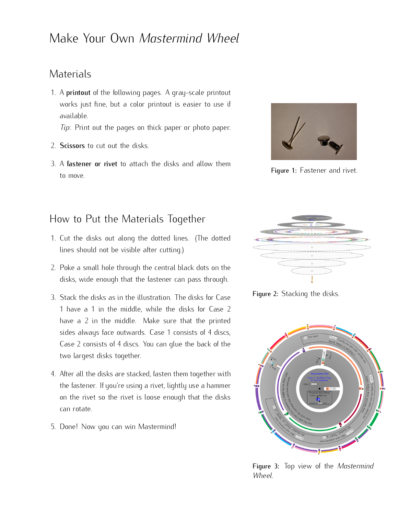### Make Your Own *Mastermind Wheel*

### **Materials**

1. A printout of the following pages. A gray-scale printout works just fine, but a color printout is easier to use if available.

*Tip*: Print out the pages on thick paper or photo paper.

- 2. Scissors to cut out the disks.
- 3. A fastener or rivet to attach the disks and allow them to move.



Figure 1: Fastener and rivet.

#### How to Put the Materials Together

- 1. Cut the disks out along the dotted lines. (The dotted lines should not be visible after cutting.)
- 2. Poke a small hole through the central black dots on the disks, wide enough that the fastener can pass through.
- 3. Stack the disks as in the illustration. The disks for Case 1 have a 1 in the middle, while the disks for Case 2 have a 2 in the middle. Make sure that the printed sides always face outwards. Case 1 consists of 4 discs, Case 2 consists of 4 discs. You can glue the back of the two largest disks together.
- 4. After all the disks are stacked, fasten them together with the fastener. If you're using a rivet, lightly use a hammer on the rivet so the rivet is loose enough that the disks can rotate.
- 5. Done! Now you can win Mastermind!



Figure 2: Stacking the disks.



Figure 3: Top view of the *Mastermind Wheel*.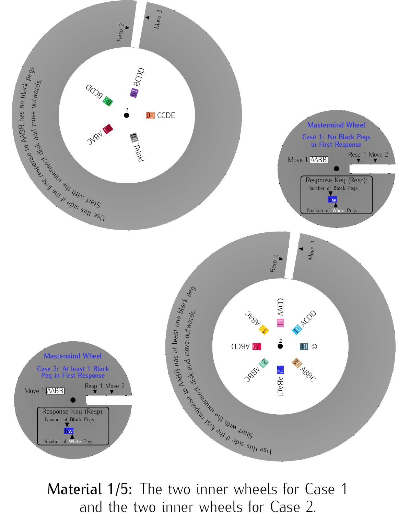

Material 1/5: The two inner wheels for Case 1 and the two inner wheels for Case 2.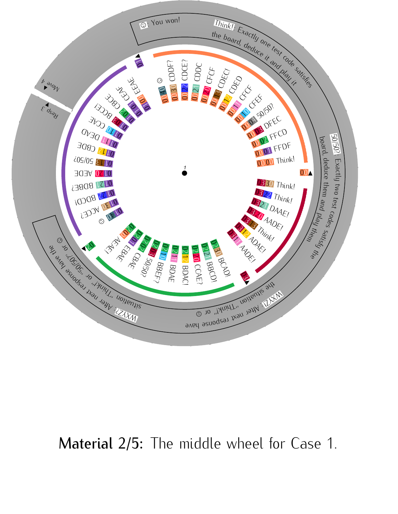

# Material 2/5: The middle wheel for Case 1.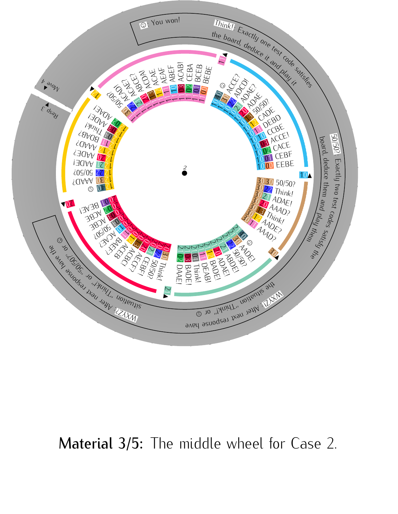

## Material 3/5: The middle wheel for Case 2.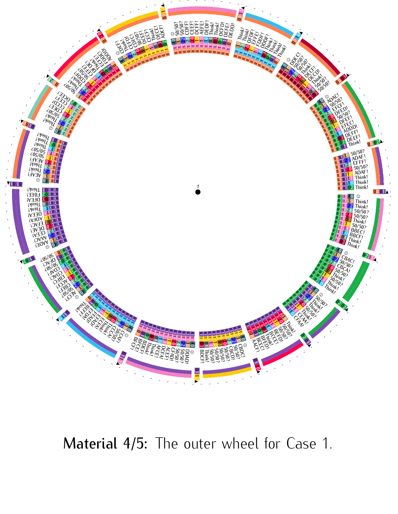

Material 4/5: The outer wheel for Case 1.